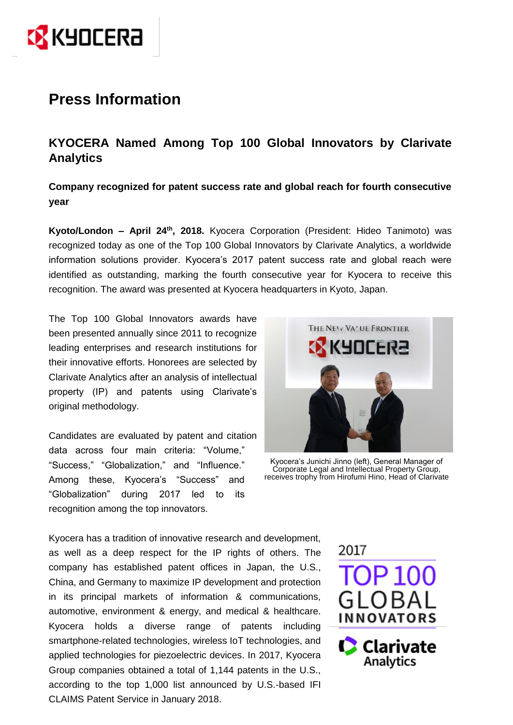

# **Press Information**

# **KYOCERA Named Among Top 100 Global Innovators by Clarivate Analytics**

**Company recognized for patent success rate and global reach for fourth consecutive year**

**Kyoto/London – April 24th , 2018.** Kyocera Corporation (President: Hideo Tanimoto) was recognized today as one of the Top 100 Global Innovators by Clarivate Analytics, a worldwide information solutions provider. Kyocera's 2017 patent success rate and global reach were identified as outstanding, marking the fourth consecutive year for Kyocera to receive this recognition. The award was presented at Kyocera headquarters in Kyoto, Japan.

The Top 100 Global Innovators awards have been presented annually since 2011 to recognize leading enterprises and research institutions for their innovative efforts. Honorees are selected by Clarivate Analytics after an analysis of intellectual property (IP) and patents using Clarivate's original methodology.

Candidates are evaluated by patent and citation data across four main criteria: "Volume," "Success," "Globalization," and "Influence." Among these, Kyocera's "Success" and "Globalization" during 2017 led to its recognition among the top innovators.



Kyocera's Junichi Jinno (left), General Manager of Corporate Legal and Intellectual Property Group, receives trophy from Hirofumi Hino, Head of Clarivate

Kyocera has a tradition of innovative research and development, as well as a deep respect for the IP rights of others. The company has established patent offices in Japan, the U.S., China, and Germany to maximize IP development and protection in its principal markets of information & communications, automotive, environment & energy, and medical & healthcare. Kyocera holds a diverse range of patents including smartphone-related technologies, wireless IoT technologies, and applied technologies for piezoelectric devices. In 2017, Kyocera Group companies obtained a total of 1,144 patents in the U.S., according to the top 1,000 list announced by U.S.-based IFI CLAIMS Patent Service in January 2018.

2017 OP 100 **INNOVATORS Clarivate** Analytics